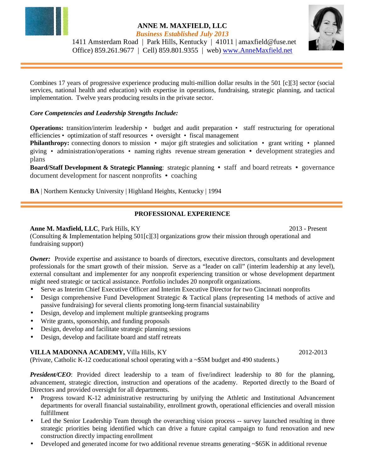

### **ANNE M. MAXFIELD, LLC**  *Business Established July 2013*

 1411 Amsterdam Road | Park Hills, Kentucky | 41011 | amaxfield@fuse.net Office) 859.261.9677 | Cell) 859.801.9355 | web) www.AnneMaxfield.net

Combines 17 years of progressive experience producing multi-million dollar results in the 501 [c][3] sector (social services, national health and education) with expertise in operations, fundraising, strategic planning, and tactical implementation. Twelve years producing results in the private sector.

## *Core Competencies and Leadership Strengths Include:*

**Operations:** transition/interim leadership • budget and audit preparation • staff restructuring for operational efficiencies • optimization of staff resources • oversight • fiscal management

**Philanthropy:** connecting donors to mission • major gift strategies and solicitation • grant writing • planned giving • administration/operations • naming rights revenue stream generation *•* development strategies and plans

**Board/Staff Development & Strategic Planning**: strategic planning *•* staff and board retreats *•* governance document development for nascent nonprofits *•* coaching

**BA** | Northern Kentucky University | Highland Heights, Kentucky | 1994

## **PROFESSIONAL EXPERIENCE**

#### **Anne M. Maxfield, LLC**, Park Hills, KY 2013 - Present

(Consulting & Implementation helping 501[c][3] organizations grow their mission through operational and fundraising support)

**Owner:** Provide expertise and assistance to boards of directors, executive directors, consultants and development professionals for the smart growth of their mission. Serve as a "leader on call" (interim leadership at any level), external consultant and implementer for any nonprofit experiencing transition or whose development department might need strategic or tactical assistance. Portfolio includes 20 nonprofit organizations.

- Serve as Interim Chief Executive Officer and Interim Executive Director for two Cincinnati nonprofits
- Design comprehensive Fund Development Strategic & Tactical plans (representing 14 methods of active and passive fundraising) for several clients promoting long-term financial sustainability
- Design, develop and implement multiple grantseeking programs
- Write grants, sponsorship, and funding proposals
- Design, develop and facilitate strategic planning sessions
- Design, develop and facilitate board and staff retreats

## **VILLA MADONNA ACADEMY, Villa Hills, KY** 2012-2013

(Private, Catholic K-12 coeducational school operating with a ~\$5M budget and 490 students.)

*President/CEO*: Provided direct leadership to a team of five/indirect leadership to 80 for the planning, advancement, strategic direction, instruction and operations of the academy. Reported directly to the Board of Directors and provided oversight for all departments.

- Progress toward K-12 administrative restructuring by unifying the Athletic and Institutional Advancement departments for overall financial sustainability, enrollment growth, operational efficiencies and overall mission fulfillment
- Led the Senior Leadership Team through the overarching vision process -- survey launched resulting in three strategic priorities being identified which can drive a future capital campaign to fund renovation and new construction directly impacting enrollment
- Developed and generated income for two additional revenue streams generating ~\$65K in additional revenue